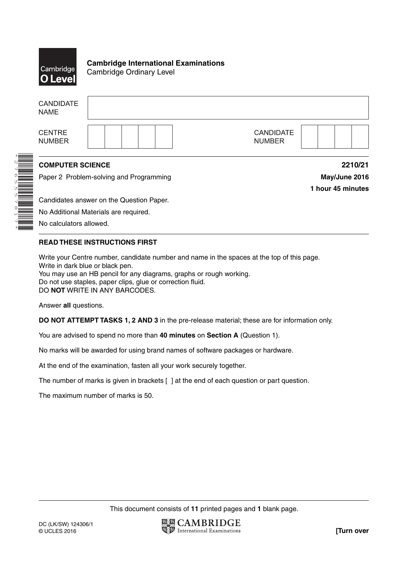

\*2765557817\*

**Cambridge International Examinations** Cambridge Ordinary Level

| <b>CANDIDATE</b><br><b>NAME</b>                                    |  |                                   |                                               |
|--------------------------------------------------------------------|--|-----------------------------------|-----------------------------------------------|
| <b>CENTRE</b><br><b>NUMBER</b>                                     |  | <b>CANDIDATE</b><br><b>NUMBER</b> |                                               |
| <b>COMPUTER SCIENCE</b><br>Paper 2 Problem-solving and Programming |  |                                   | 2210/21<br>May/June 2016<br>1 hour 45 minutes |
| Candidates answer on the Question Paper.                           |  |                                   |                                               |
| No Additional Materials are required.                              |  |                                   |                                               |
| No calculators allowed                                             |  |                                   |                                               |

No calculators allowed.

# **READ THESE INSTRUCTIONS FIRST**

Write your Centre number, candidate number and name in the spaces at the top of this page. Write in dark blue or black pen. You may use an HB pencil for any diagrams, graphs or rough working. Do not use staples, paper clips, glue or correction fluid. DO **NOT** WRITE IN ANY BARCODES.

Answer **all** questions.

**DO NOT ATTEMPT TASKS 1, 2 AND 3** in the pre-release material; these are for information only.

You are advised to spend no more than **40 minutes** on **Section A** (Question 1).

No marks will be awarded for using brand names of software packages or hardware.

At the end of the examination, fasten all your work securely together.

The number of marks is given in brackets [ ] at the end of each question or part question.

The maximum number of marks is 50.

This document consists of **11** printed pages and **1** blank page.

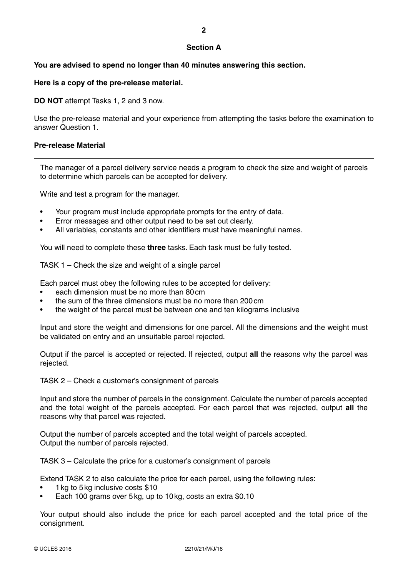### **Section A**

### **You are advised to spend no longer than 40 minutes answering this section.**

#### **Here is a copy of the pre-release material.**

**DO NOT** attempt Tasks 1, 2 and 3 now.

Use the pre-release material and your experience from attempting the tasks before the examination to answer Question 1.

#### **Pre-release Material**

The manager of a parcel delivery service needs a program to check the size and weight of parcels to determine which parcels can be accepted for delivery.

Write and test a program for the manager.

- Your program must include appropriate prompts for the entry of data.
- Error messages and other output need to be set out clearly.
- All variables, constants and other identifiers must have meaningful names.

You will need to complete these **three** tasks. Each task must be fully tested.

TASK 1 – Check the size and weight of a single parcel

Each parcel must obey the following rules to be accepted for delivery:

- each dimension must be no more than 80 cm
- the sum of the three dimensions must be no more than 200 cm
- the weight of the parcel must be between one and ten kilograms inclusive

Input and store the weight and dimensions for one parcel. All the dimensions and the weight must be validated on entry and an unsuitable parcel rejected.

Output if the parcel is accepted or rejected. If rejected, output **all** the reasons why the parcel was rejected.

TASK 2 – Check a customer's consignment of parcels

Input and store the number of parcels in the consignment. Calculate the number of parcels accepted and the total weight of the parcels accepted. For each parcel that was rejected, output **all** the reasons why that parcel was rejected.

Output the number of parcels accepted and the total weight of parcels accepted. Output the number of parcels rejected.

TASK 3 – Calculate the price for a customer's consignment of parcels

Extend TASK 2 to also calculate the price for each parcel, using the following rules:

- 1 kg to 5 kg inclusive costs \$10
- Each 100 grams over 5 kg, up to 10 kg, costs an extra \$0.10

Your output should also include the price for each parcel accepted and the total price of the consignment.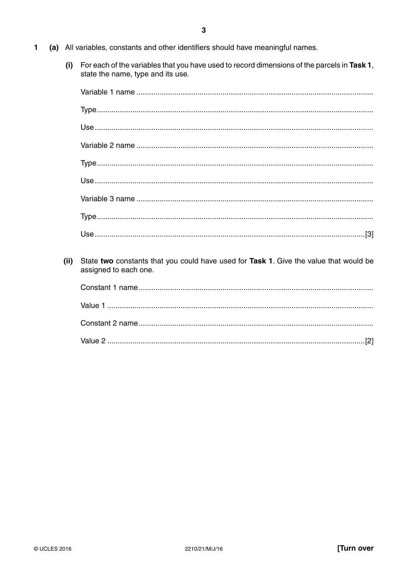- $\blacksquare$ (a) All variables, constants and other identifiers should have meaningful names.
	- (i) For each of the variables that you have used to record dimensions of the parcels in Task 1, state the name, type and its use.

| (ii) | State two constants that you could have used for Task 1. Give the value that would be<br>assigned to each one. |
|------|----------------------------------------------------------------------------------------------------------------|
|      |                                                                                                                |
|      |                                                                                                                |
|      |                                                                                                                |
|      |                                                                                                                |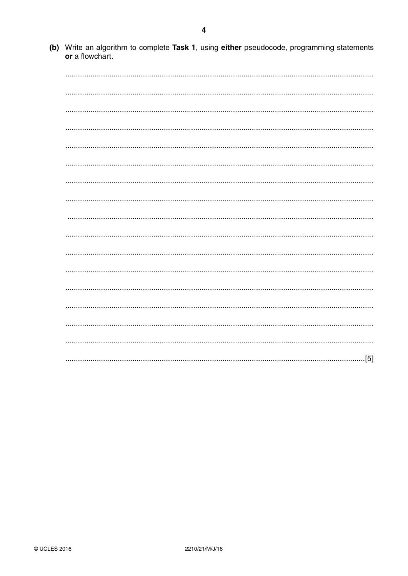(b) Write an algorithm to complete Task 1, using either pseudocode, programming statements or a flowchart.

| $\cdot$ [5] |
|-------------|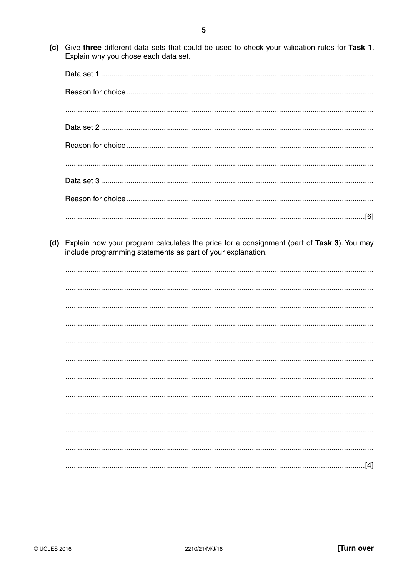(c) Give three different data sets that could be used to check your validation rules for Task 1. Explain why you chose each data set.

(d) Explain how your program calculates the price for a consignment (part of Task 3). You may include programming statements as part of your explanation.

| [4] |
|-----|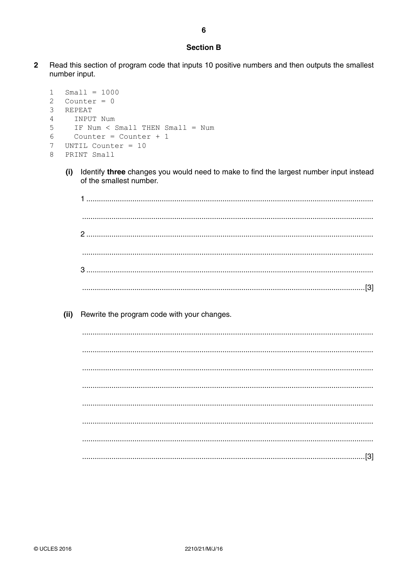#### **Section B**

 $\overline{2}$ Read this section of program code that inputs 10 positive numbers and then outputs the smallest number input.

```
\mathbf{1}Small = 1000Counter = 02
\mathcal{E}REPEAT
\overline{4}INPUT Num
5
       IF Num < Small THEN Small = Num
       Counter = Counter + 16
\overline{7}UNTIL Counter = 10
   PRINT Small
\mathsf{R}
```
Identify three changes you would need to make to find the largest number input instead  $(i)$ of the smallest number.

 $(ii)$ Rewrite the program code with your changes.

>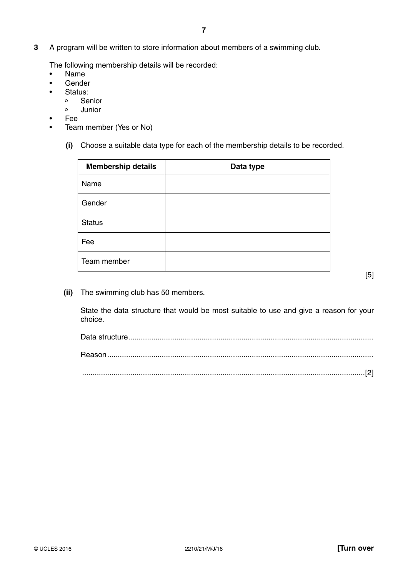**3** A program will be written to store information about members of a swimming club.

The following membership details will be recorded:

- Name
- **Gender**
- Status:
	- Senior
	- Junior
- Fee
- Team member (Yes or No)
	- **(i)** Choose a suitable data type for each of the membership details to be recorded.

| <b>Membership details</b> | Data type |
|---------------------------|-----------|
| Name                      |           |
| Gender                    |           |
| <b>Status</b>             |           |
| Fee                       |           |
| Team member               |           |

[5]

 **(ii)** The swimming club has 50 members.

State the data structure that would be most suitable to use and give a reason for your choice.

| $[2] \label{eq:3}$ |
|--------------------|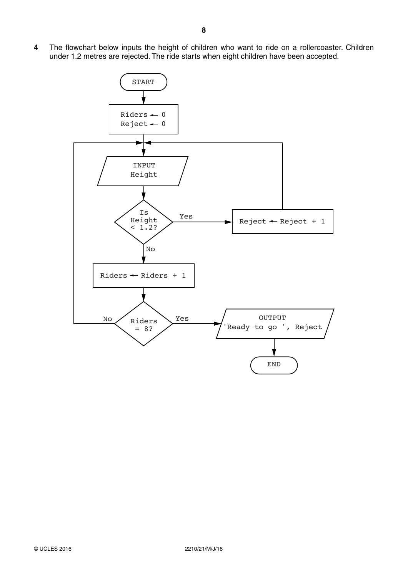$\overline{\mathbf{4}}$ The flowchart below inputs the height of children who want to ride on a rollercoaster. Children under 1.2 metres are rejected. The ride starts when eight children have been accepted.

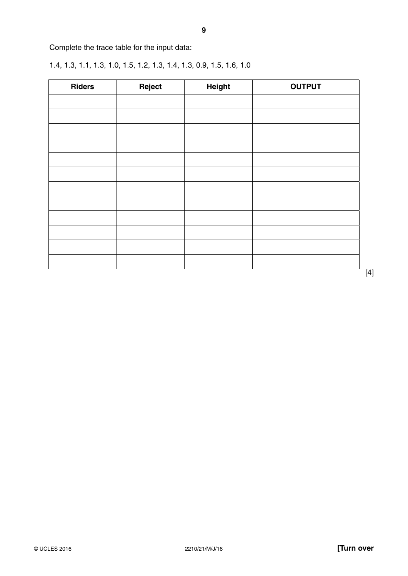Complete the trace table for the input data:

1.4, 1.3, 1.1, 1.3, 1.0, 1.5, 1.2, 1.3, 1.4, 1.3, 0.9, 1.5, 1.6, 1.0

| <b>Riders</b> | Reject | Height | <b>OUTPUT</b> |
|---------------|--------|--------|---------------|
|               |        |        |               |
|               |        |        |               |
|               |        |        |               |
|               |        |        |               |
|               |        |        |               |
|               |        |        |               |
|               |        |        |               |
|               |        |        |               |
|               |        |        |               |
|               |        |        |               |
|               |        |        |               |
|               |        |        |               |

[4]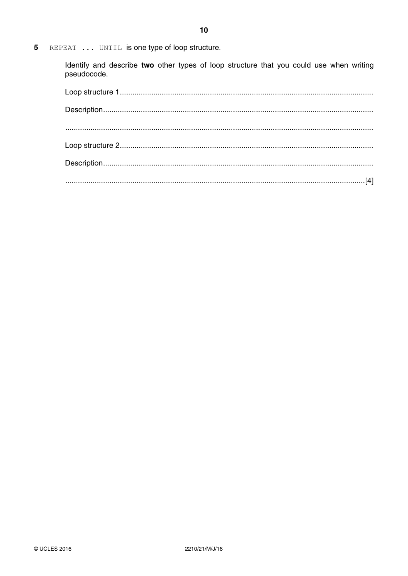REPEAT ... UNTIL is one type of loop structure.  $\overline{\mathbf{5}}$ 

> Identify and describe two other types of loop structure that you could use when writing pseudocode.

| $[4] \label{def:1}$ |  |
|---------------------|--|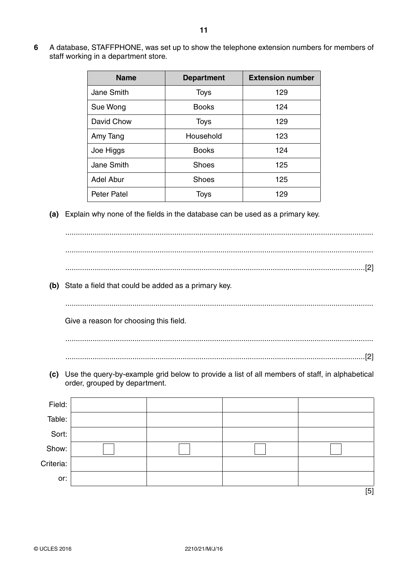**6** A database, STAFFPHONE, was set up to show the telephone extension numbers for members of staff working in a department store.

| <b>Name</b>        | <b>Department</b> | <b>Extension number</b> |
|--------------------|-------------------|-------------------------|
| Jane Smith         | <b>Toys</b>       | 129                     |
| Sue Wong           | <b>Books</b>      | 124                     |
| David Chow         | <b>Toys</b>       | 129                     |
| Amy Tang           | Household         | 123                     |
| Joe Higgs          | <b>Books</b>      | 124                     |
| Jane Smith         | <b>Shoes</b>      | 125                     |
| <b>Adel Abur</b>   | <b>Shoes</b>      | 125                     |
| <b>Peter Patel</b> | <b>Toys</b>       | 129                     |

 **(a)** Explain why none of the fields in the database can be used as a primary key.

 ................................................................................................................................................... ................................................................................................................................................... ...............................................................................................................................................[2]

 **(b)** State a field that could be added as a primary key.

...................................................................................................................................................

Give a reason for choosing this field.

 ................................................................................................................................................... ...............................................................................................................................................[2]

 **(c)** Use the query-by-example grid below to provide a list of all members of staff, in alphabetical order, grouped by department.

| Field:    |  |     |
|-----------|--|-----|
| Table:    |  |     |
| Sort:     |  |     |
| Show:     |  |     |
| Criteria: |  |     |
| or:       |  |     |
|           |  | [5] |